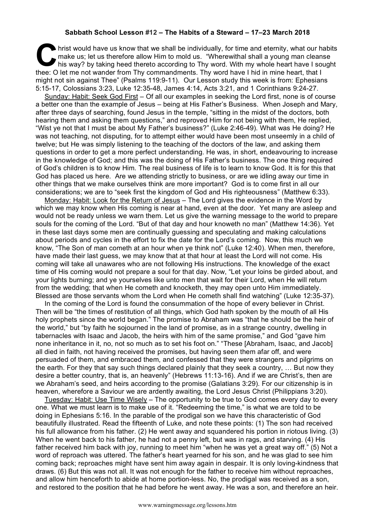## **Sabbath School Lesson #12 – The Habits of a Steward – 17–23 March 2018**

hrist would have us know that we shall be individually, for time and eternity, what our habits<br>
make us; let us therefore allow Him to mold us. "Wherewithal shall a young man cleanse<br>
his way? by taking heed thereto accord make us; let us therefore allow Him to mold us. "Wherewithal shall a young man cleanse his way? by taking heed thereto according to Thy word. With my whole heart have I sought thee: O let me not wander from Thy commandments. Thy word have I hid in mine heart, that I might not sin against Thee" (Psalms 119:9-11). Our Lesson study this week is from: Ephesians 5:15-17, Colossians 3:23, Luke 12:35-48, James 4:14, Acts 3:21, and 1 Corinthians 9:24-27.

Sunday: Habit: Seek God First – Of all our examples in seeking the Lord first, none is of course a better one than the example of Jesus – being at His Father's Business. When Joseph and Mary, after three days of searching, found Jesus in the temple, "sitting in the midst of the doctors, both hearing them and asking them questions," and reproved Him for not being with them, He replied, "Wist ye not that I must be about My Father's business?" (Luke 2:46-49). What was He doing? He was not teaching, not disputing, for to attempt either would have been most unseemly in a child of twelve; but He was simply listening to the teaching of the doctors of the law, and asking them questions in order to get a more perfect understanding. He was, in short, endeavouring to increase in the knowledge of God; and this was the doing of His Father's business. The one thing required of God's children is to know Him. The real business of life is to learn to know God. It is for this that God has placed us here. Are we attending strictly to business, or are we idling away our time in other things that we make ourselves think are more important? God is to come first in all our considerations; we are to "seek first the kingdom of God and His righteousness" (Matthew 6:33).

Monday: Habit: Look for the Return of Jesus – The Lord gives the evidence in the Word by which we may know when His coming is near at hand, even at the door. Yet many are asleep and would not be ready unless we warn them. Let us give the warning message to the world to prepare souls for the coming of the Lord. "But of that day and hour knoweth no man" (Matthew 14:36). Yet in these last days some men are continually guessing and speculating and making calculations about periods and cycles in the effort to fix the date for the Lord's coming. Now, this much we know, "The Son of man cometh at an hour when ye think not" (Luke 12:40). When men, therefore, have made their last guess, we may know that at that hour at least the Lord will not come. His coming will take all unawares who are not following His instructions. The knowledge of the exact time of His coming would not prepare a soul for that day. Now, "Let your loins be girded about, and your lights burning; and ye yourselves like unto men that wait for their Lord, when He will return from the wedding; that when He cometh and knocketh, they may open unto Him immediately. Blessed are those servants whom the Lord when He cometh shall find watching" (Luke 12:35-37).

In the coming of the Lord is found the consummation of the hope of every believer in Christ. Then will be "the times of restitution of all things, which God hath spoken by the mouth of all His holy prophets since the world began." The promise to Abraham was "that he should be the heir of the world," but "by faith he sojourned in the land of promise, as in a strange country, dwelling in tabernacles with Isaac and Jacob, the heirs with him of the same promise," and God "gave him none inheritance in it, no, not so much as to set his foot on." "These [Abraham, Isaac, and Jacob] all died in faith, not having received the promises, but having seen them afar off, and were persuaded of them, and embraced them, and confessed that they were strangers and pilgrims on the earth. For they that say such things declared plainly that they seek a country, … But now they desire a better country, that is, an heavenly" (Hebrews 11:13-16). And if we are Christ's, then are we Abraham's seed, and heirs according to the promise (Galatians 3:29). For our citizenship is in heaven, wherefore a Saviour we are ardently awaiting, the Lord Jesus Christ (Philippians 3:20).

Tuesday: Habit: Use Time Wisely - The opportunity to be true to God comes every day to every one. What we must learn is to make use of it. "Redeeming the time," is what we are told to be doing in Ephesians 5:16. In the parable of the prodigal son we have this characteristic of God beautifully illustrated. Read the fifteenth of Luke, and note these points: (1) The son had received his full allowance from his father. (2) He went away and squandered his portion in riotous living. (3) When he went back to his father, he had not a penny left, but was in rags, and starving. (4) His father received him back with joy, running to meet him "when he was yet a great way off." (5) Not a word of reproach was uttered. The father's heart yearned for his son, and he was glad to see him coming back; reproaches might have sent him away again in despair. It is only loving-kindness that draws. (6) But this was not all. It was not enough for the father to receive him without reproaches, and allow him henceforth to abide at home portion-less. No, the prodigal was received as a son, and restored to the position that he had before he went away. He was a son, and therefore an heir.